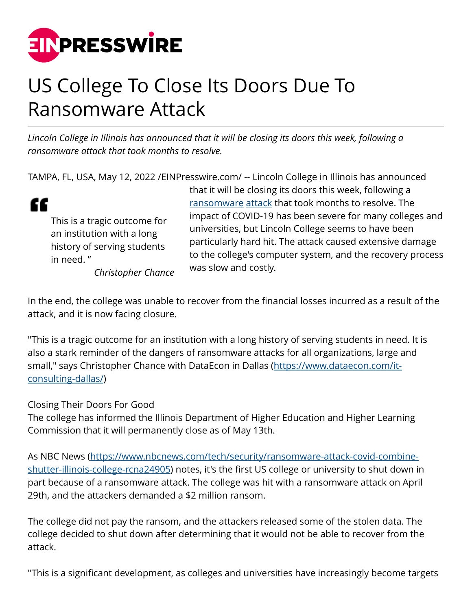

## US College To Close Its Doors Due To Ransomware Attack

*Lincoln College in Illinois has announced that it will be closing its doors this week, following a ransomware attack that took months to resolve.*

TAMPA, FL, USA, May 12, 2022 [/EINPresswire.com](http://www.einpresswire.com)/ -- Lincoln College in Illinois has announced



This is a tragic outcome for an institution with a long history of serving students in need. " *Christopher Chance* that it will be closing its doors this week, following a [ransomware](https://wolffadar.com/ransomware-toronto/) [attack](https://giaspace.com/dangerous-emails/) that took months to resolve. The impact of COVID-19 has been severe for many colleges and universities, but Lincoln College seems to have been particularly hard hit. The attack caused extensive damage to the college's computer system, and the recovery process was slow and costly.

In the end, the college was unable to recover from the financial losses incurred as a result of the attack, and it is now facing closure.

"This is a tragic outcome for an institution with a long history of serving students in need. It is also a stark reminder of the dangers of ransomware attacks for all organizations, large and small," says Christopher Chance with DataEcon in Dallas [\(https://www.dataecon.com/it](https://www.dataecon.com/it-consulting-dallas/)[consulting-dallas/](https://www.dataecon.com/it-consulting-dallas/))

Closing Their Doors For Good

The college has informed the Illinois Department of Higher Education and Higher Learning Commission that it will permanently close as of May 13th.

As NBC News [\(https://www.nbcnews.com/tech/security/ransomware-attack-covid-combine](https://www.nbcnews.com/tech/security/ransomware-attack-covid-combine-shutter-illinois-college-rcna24905)[shutter-illinois-college-rcna24905](https://www.nbcnews.com/tech/security/ransomware-attack-covid-combine-shutter-illinois-college-rcna24905)) notes, it's the first US college or university to shut down in part because of a ransomware attack. The college was hit with a ransomware attack on April 29th, and the attackers demanded a \$2 million ransom.

The college did not pay the ransom, and the attackers released some of the stolen data. The college decided to shut down after determining that it would not be able to recover from the attack.

"This is a significant development, as colleges and universities have increasingly become targets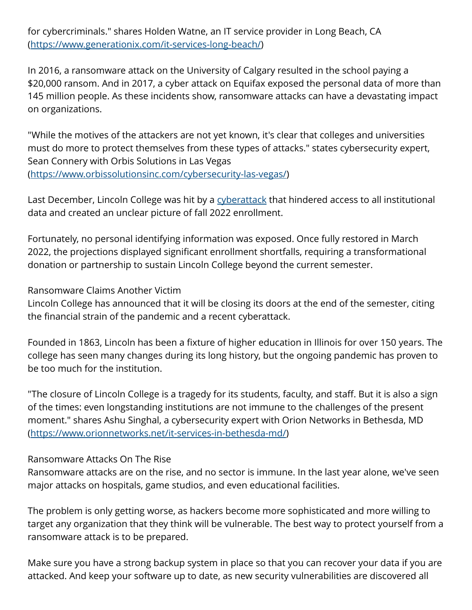for cybercriminals." shares Holden Watne, an IT service provider in Long Beach, CA (<https://www.generationix.com/it-services-long-beach/>)

In 2016, a ransomware attack on the University of Calgary resulted in the school paying a \$20,000 ransom. And in 2017, a cyber attack on Equifax exposed the personal data of more than 145 million people. As these incidents show, ransomware attacks can have a devastating impact on organizations.

"While the motives of the attackers are not yet known, it's clear that colleges and universities must do more to protect themselves from these types of attacks." states cybersecurity expert, Sean Connery with Orbis Solutions in Las Vegas ([https://www.orbissolutionsinc.com/cybersecurity-las-vegas/\)](https://www.orbissolutionsinc.com/cybersecurity-las-vegas/)

Last December, Lincoln College was hit by a [cyberattack](https://www.resolveit.net/cyberattacks-are-happening-faster-than-businesses-can-detect-and-prevent-them/) that hindered access to all institutional data and created an unclear picture of fall 2022 enrollment.

Fortunately, no personal identifying information was exposed. Once fully restored in March 2022, the projections displayed significant enrollment shortfalls, requiring a transformational donation or partnership to sustain Lincoln College beyond the current semester.

Ransomware Claims Another Victim

Lincoln College has announced that it will be closing its doors at the end of the semester, citing the financial strain of the pandemic and a recent cyberattack.

Founded in 1863, Lincoln has been a fixture of higher education in Illinois for over 150 years. The college has seen many changes during its long history, but the ongoing pandemic has proven to be too much for the institution.

"The closure of Lincoln College is a tragedy for its students, faculty, and staff. But it is also a sign of the times: even longstanding institutions are not immune to the challenges of the present moment." shares Ashu Singhal, a cybersecurity expert with Orion Networks in Bethesda, MD (<https://www.orionnetworks.net/it-services-in-bethesda-md/>)

## Ransomware Attacks On The Rise

Ransomware attacks are on the rise, and no sector is immune. In the last year alone, we've seen major attacks on hospitals, game studios, and even educational facilities.

The problem is only getting worse, as hackers become more sophisticated and more willing to target any organization that they think will be vulnerable. The best way to protect yourself from a ransomware attack is to be prepared.

Make sure you have a strong backup system in place so that you can recover your data if you are attacked. And keep your software up to date, as new security vulnerabilities are discovered all